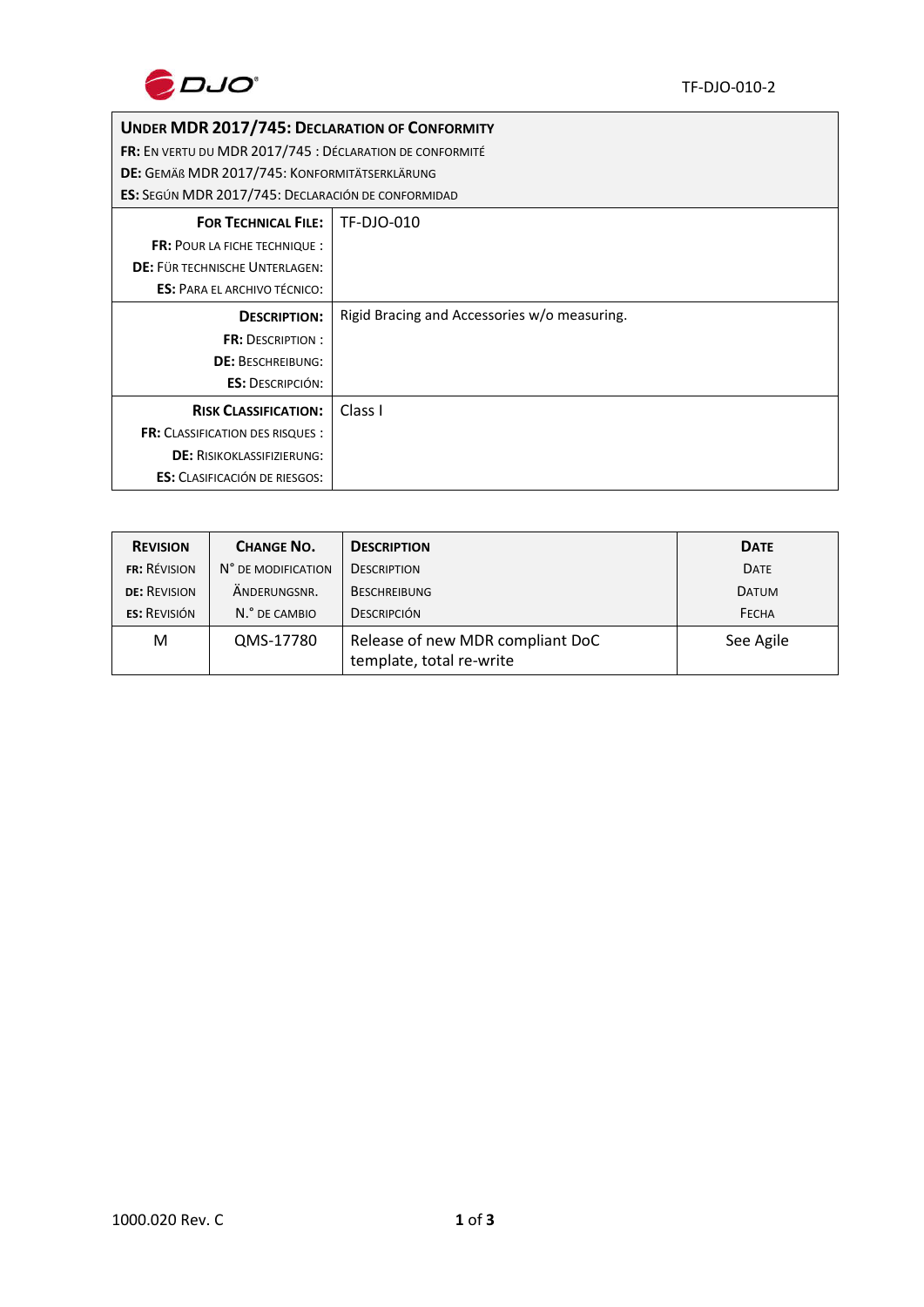

## **UNDER MDR 2017/745: DECLARATION OF CONFORMITY**

**FR:** EN VERTU DU MDR 2017/745 : DÉCLARATION DE CONFORMITÉ

**DE:** GEMÄß MDR 2017/745: KONFORMITÄTSERKLÄRUNG

**ES:** SEGÚN MDR 2017/745: DECLARACIÓN DE CONFORMIDAD

| <b>FOR TECHNICAL FILE:</b>              | TF-DJO-010                                   |  |
|-----------------------------------------|----------------------------------------------|--|
| <b>FR: POUR LA FICHE TECHNIQUE:</b>     |                                              |  |
| DE: FÜR TECHNISCHE UNTERLAGEN:          |                                              |  |
| <b>ES: PARA EL ARCHIVO TÉCNICO:</b>     |                                              |  |
| <b>DESCRIPTION:</b>                     | Rigid Bracing and Accessories w/o measuring. |  |
| <b>FR: DESCRIPTION:</b>                 |                                              |  |
| <b>DE: BESCHREIBUNG:</b>                |                                              |  |
| <b>ES: DESCRIPCIÓN:</b>                 |                                              |  |
| <b>RISK CLASSIFICATION:</b>             | Class I                                      |  |
| <b>FR:</b> CLASSIFICATION DES RISQUES : |                                              |  |
| <b>DE: RISIKOKLASSIFIZIERUNG:</b>       |                                              |  |
| <b>ES:</b> CLASIFICACIÓN DE RIESGOS:    |                                              |  |

| <b>REVISION</b>     | <b>CHANGE NO.</b>  | <b>DESCRIPTION</b>                                           | <b>DATE</b>  |
|---------------------|--------------------|--------------------------------------------------------------|--------------|
| <b>FR: RÉVISION</b> | N° DE MODIFICATION | <b>DESCRIPTION</b>                                           | <b>DATE</b>  |
| <b>DE: REVISION</b> | ANDERUNGSNR.       | <b>BESCHREIBUNG</b>                                          | <b>DATUM</b> |
| <b>ES: REVISIÓN</b> | N.º DE CAMBIO      | <b>DESCRIPCIÓN</b>                                           | <b>FECHA</b> |
| M                   | QMS-17780          | Release of new MDR compliant DoC<br>template, total re-write | See Agile    |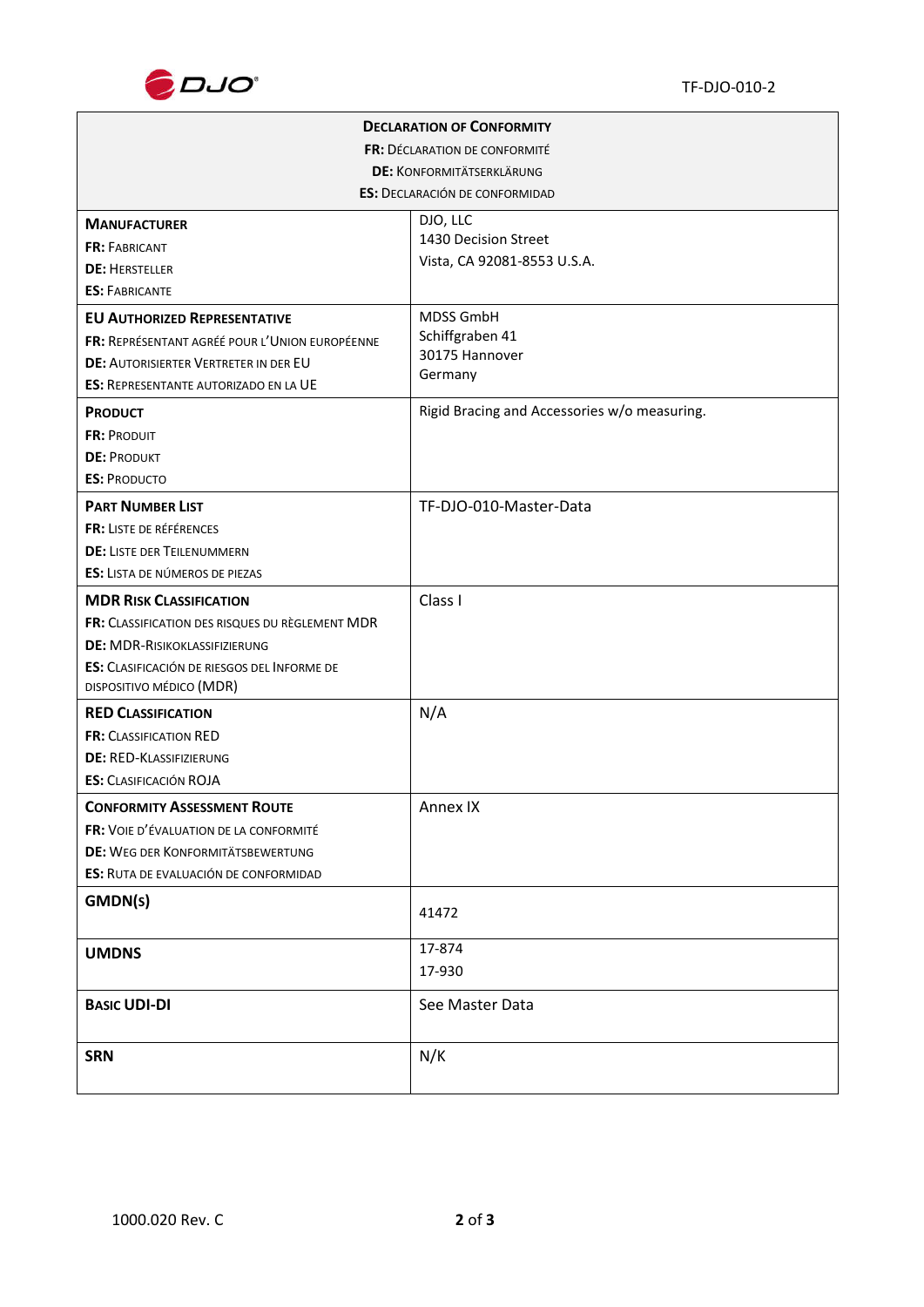

| <b>DECLARATION OF CONFORMITY</b>                |                                              |  |  |  |
|-------------------------------------------------|----------------------------------------------|--|--|--|
| FR: DÉCLARATION DE CONFORMITÉ                   |                                              |  |  |  |
| <b>DE: KONFORMITÄTSERKLÄRUNG</b>                |                                              |  |  |  |
| <b>ES: DECLARACIÓN DE CONFORMIDAD</b>           |                                              |  |  |  |
| <b>MANUFACTURER</b>                             | DJO, LLC                                     |  |  |  |
| <b>FR: FABRICANT</b>                            | 1430 Decision Street                         |  |  |  |
| <b>DE: HERSTELLER</b>                           | Vista, CA 92081-8553 U.S.A.                  |  |  |  |
| <b>ES: FABRICANTE</b>                           |                                              |  |  |  |
| <b>EU AUTHORIZED REPRESENTATIVE</b>             | MDSS GmbH                                    |  |  |  |
| FR: REPRÉSENTANT AGRÉÉ POUR L'UNION EUROPÉENNE  | Schiffgraben 41                              |  |  |  |
| DE: AUTORISIERTER VERTRETER IN DER EU           | 30175 Hannover<br>Germany                    |  |  |  |
| <b>ES: REPRESENTANTE AUTORIZADO EN LA UE</b>    |                                              |  |  |  |
| <b>PRODUCT</b>                                  | Rigid Bracing and Accessories w/o measuring. |  |  |  |
| <b>FR: PRODUIT</b>                              |                                              |  |  |  |
| <b>DE: PRODUKT</b>                              |                                              |  |  |  |
| <b>ES: PRODUCTO</b>                             |                                              |  |  |  |
| <b>PART NUMBER LIST</b>                         | TF-DJO-010-Master-Data                       |  |  |  |
| FR: LISTE DE RÉFÉRENCES                         |                                              |  |  |  |
| <b>DE: LISTE DER TEILENUMMERN</b>               |                                              |  |  |  |
| <b>ES:</b> LISTA DE NÚMEROS DE PIEZAS           |                                              |  |  |  |
| <b>MDR RISK CLASSIFICATION</b>                  | Class I                                      |  |  |  |
| FR: CLASSIFICATION DES RISQUES DU RÈGLEMENT MDR |                                              |  |  |  |
| <b>DE: MDR-RISIKOKLASSIFIZIERUNG</b>            |                                              |  |  |  |
| ES: CLASIFICACIÓN DE RIESGOS DEL INFORME DE     |                                              |  |  |  |
| DISPOSITIVO MÉDICO (MDR)                        |                                              |  |  |  |
| <b>RED CLASSIFICATION</b>                       | N/A                                          |  |  |  |
| <b>FR: CLASSIFICATION RED</b>                   |                                              |  |  |  |
| <b>DE: RED-KLASSIFIZIERUNG</b>                  |                                              |  |  |  |
| <b>ES:</b> CLASIFICACIÓN ROJA                   |                                              |  |  |  |
| <b>CONFORMITY ASSESSMENT ROUTE</b>              | Annex IX                                     |  |  |  |
| FR: VOIE D'ÉVALUATION DE LA CONFORMITÉ          |                                              |  |  |  |
| <b>DE: WEG DER KONFORMITÄTSBEWERTUNG</b>        |                                              |  |  |  |
| ES: RUTA DE EVALUACIÓN DE CONFORMIDAD           |                                              |  |  |  |
| GMDN(s)                                         | 41472                                        |  |  |  |
|                                                 |                                              |  |  |  |
| <b>UMDNS</b>                                    | 17-874                                       |  |  |  |
|                                                 | 17-930                                       |  |  |  |
| <b>BASIC UDI-DI</b>                             | See Master Data                              |  |  |  |
|                                                 |                                              |  |  |  |
| <b>SRN</b>                                      | N/K                                          |  |  |  |
|                                                 |                                              |  |  |  |